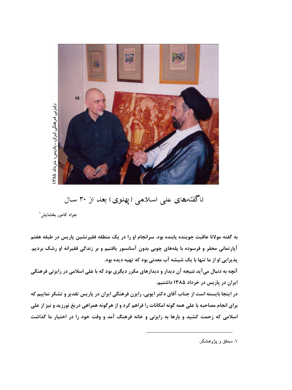

ناگفتههای علی اسلامی (پهلوی) بعد از ۳۰ سال

جواد كامور بخشايش ٰ

به گفته مولانا عاقبت جوینده پابنده بود. سرانجام او را در یک منطقه فقیرنشین پاریس در طبقه هفتم آپارتمانی محقر و فرسوده با پلههای چوبی بدون آسانسور یافتیم و بر زندگی فقیرانه او رشک بردیم. پذیرایی او از ما تنها با یک شیشه آب معدنی بود که تهیه دیده بود.

آنچه به دنبال میآید نتیجه آن دیدار و دیدارهای مکرر دیگری بود که با علی اسلامی در رایزنی فرهنگی ایران در پاریس در خرداد ۱۳۸۵ داشتیم.

در اینجا بایسته است از جناب آقای دکتر ایوبی، رایزن فرهنگی ایران در پاریس تقدیر و تشکر نماییم که برای انجام مصاحبه با علی همه گونه امکانات را فراهم کرد و از هرگونه همراهی دریغ نورزید و نیز از علی اسلامی که زحمت کشید و بارها به رایزنی و خانه فرهنگ آمد و وقت خود را در اختیار ما گذاشت

۱. محقق و پژوهشگر.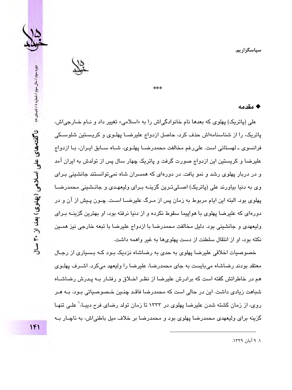

#### ♦ مقدمه

علي (پاتريک) پهلوي که بعدها نام خانوادگي اش را به «اسلامي» تغيير داد و نـام خــارجي اش، پاتریک، را از شناسنامهاش حذف کرد، حاصل ازدواج علیرضــا پهلـوی و کریـستین شلوســکی فرانسوی ـ لهستانی است. علی رغم مخالفت محمدرضـا پهلـوی، شـاه سـابق ایـران، بـا ازدواج علیرضا و کریستین این ازدواج صورت گرفت و پاتریک چهار سال پس از تولدش به ایران آمد و در دربار پهلوی رشد و نمو یافت. در دورهای که همسران شاه نمی،توانستند جانشینی بـرای وی به دنیا بیاورند علی (پاتریک) اصـلی تـرین گزینـه بـرای ولیعهـدی و جانـشینی محمدرضــا پهلوی بود. البته این ایام مربوط به زمان پس از مـرگ علیرضــا اسـت. چـون پـیش از آن و در دورهای که علیرضا پهلوی با هواپیما سقوط نکرده و از دنیا نرفته بود، او بهترین گزینــه بـرای ولیعهدی و جانشینی بود. دلیل مخالفت محمدرضا با ازدواج علیرضا با تبعه خارجی نیز همـین نکته بود، او از انتقال سلطنت از دست پهلوی ها به غیر واهمه داشت.

له مه مه

خصوصیات اخلاقی علیرضا پهلوی به حدی به رضاشاه نزدیک بـود کـه بـسیاری از رجـال معتقد بو دند ر ضاشاه مے پابست به جای محمدر ضا، علیر ضا را ولیعهد مے کر د. اشیر ف پهلیوی هم در خاطراتش گفته است که برادرش علیرضا از نظـر اخـلاق و رفتـار بـه پـدرش رضاشــاه شباهت زیادی داشت. این در حالی است که محمدرضا فاقـد چنـین خـصـوصـیاتی بـود. بــه هــر روی، از زمان کشته شدن علیرضا پهلوی در ۱۳۳۳ تا زمان تولد رضای فرح دیبـا، ٰ علـی تنهـا گزینه برای ولیعهدی محمدرضا پهلوی بود و محمدرضا بر خلاف میل باطنیاش، به ناچـار بــه

۰. ۹ آبان ۱۳۳۹.

 $1F1$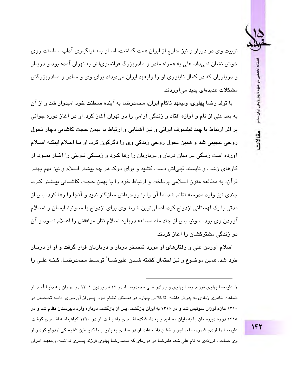

تربیت وی در دربار و نیز خارج از ایران همت گماشت. اما او بـه فراگیـری آداب سـلطنت روی خوش نشان نمی،داد. علی به همراه مادر و مادربزرگ فرانسویاش به تهران آمده بود و دریبار و در باریان که در کمال ناباوری او را ولیعهد ایران می،دیدند برای وی و میادر و میادریزرگش مشکلات عدیدهای پدید می آور دند.

با تولد رضا پهلوی، ولیعهد ناکام ایران، محمدرضا به آینده سلطنت خود امیدوار شد و از آن به بعد علي از نام و آوازه افتاد و زندگي آرامي را در تهران آغاز كرد. او در آغاز دوره جواني بر اثر ارتباط با چند فیلسوف ایرانی و نیز آشنایی و ارتباط با بهمن حجت کاشانی دچار تحول روحي عجيبي شد و همين تحول روحي زندگي وي را دگرگون کرد. او پا اعبلام اينکـه اسبـلام آورده است زندگی در میان دربار و درباریان را رها کـرد و زنـدگی نـوینی را آغـاز نمـود. از کارهای زشت و نایسند قبلی!ش دست کشید و برای درک هر چه بیشتر اسلام و نیز فهم بهتر قرآن، به مطالعه متون اسلامی پرداخت و ارتباط خود را با بهمن حجت کاشیانی بیشتر کرد. چندی نیز وارد مدرسه نظام شد اما آن را با روحیهاش سازگار ندید و آنجا را رها کرد. پس از مدتی با یک لهستانی ازدواج کرد. اصلی ترین شرط وی برای ازدواج با سـونیا، ایمـان و اســلام آوردن وي بود. سونيا پس از چند ماه مطالعه درباره اسلام نظر موافقش را اعــلام نمــود و آن دو زندگی مشترکشان را آغاز کردند.

اسلام آوردن علی و رفتارهای او مورد تمسخر دربار و درباریان قرار گرفت و او از دربـار طرد شد. همین موضوع و نیز احتمال کشته شـدن علیرضــا` توسـط محمدرضــا، کینــه علــی را

۱. علیرضا پهلوی فرزند رضا پهلوی و پیرادر تنبی محمدرضیا، در ۱۲ فروردین ۱۳۰۱ در تهران به دنیا آمید او شیاهت ظاهری زیادی به پدرش داشت. تا کلاس چهارم در دستتان نظـام بـود. پـس از آن بـرای ادامـه تحـصیل در ۱۳۱۰ عازم لورزان سوئیس شد و در ۱۳۱۵ به ایران بازگشت. پس از بازگشت دوباره وارد دبیرستان نظام شد و در ۱۳۱۸ دوره دببرستان را به پایان رسانید و به دانـشکده افسری راه یافت. او در ۱۳۲۰ گواهینامـه افسری گرفت. علیرضا را فردی شرور، ماجراجو و خشن دانستهاند. او در سفری به پاریس با کریستین شلوسکی ازدواج کرد و از وی صاحب فرزندی به نام علی شد. علیرضا در دورهای که محمدرضا پهلوی فرزند پسری نداشت ولیعهد ایـران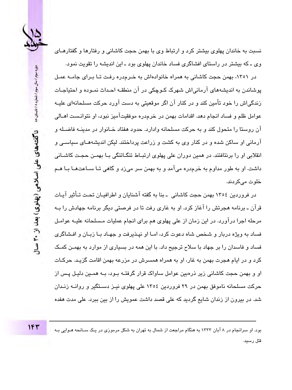

نسبت به خاندان پهلوی بیشتر کرد و ارتباط وی با بهمن حجت کاشانی و رفتارها و گفتارهـای وی ـ که بیشتر در راستای افشاگری فساد خاندان پهلوی بود ـ این اندیشه را تقویت نمود.

در ۱۳۵۱، بهمن حجت کاشانی به همراه خانوادهاش به خـرمدره رفـت تـا بـرای جامــه عمـل پوشاندن به اندیشههای آرمانی اش شهرک کـوچکی در آن منطقـه احـداث نمـوده و احتیاجـات زندگی!ش را خود تأمین کند و در کنار آن اگر موقعیتی به دست آورد حرکت مسلحانهای علیـه عوامل ظلم و فساد انجام دهد. اقدامات بهمن در خرمدره موفقیتآمیز نبود، او نتوانـست اهــالی آن روستا را متحول کند و به حرکت مسلحانه وادارد. حدود هفتاد خــانوار در مدینــه فاضــله و آرمانی او ساکن شده و در کنار وی به کشت و زراعت پرداختند. لیکن اندیشههـای سیاسـی و انقلابی او را برنتافتند. در همین دوران علی پهلوی ارتبـاط تنگـاتنگی بـا بهمـن حجـت کاشـانی داشت. او به طور مداوم به خرمدره میآمد و به بهمن سر میزد و گاهی تـا سـاعتـهـا بـا هــم خلوت مے کردند.

در فروردین ١٣٥٤ بهمن حجت کاشانی ـ بنا به گفته آشنایان و اطرافیـان تحـت تـأثیر آیـات قرآن ـ پرنامه هجرتش را آغاز کرد. او په غاري رفت تا در فرصتي ديگر پرنامه چهادش را پـه مرحله اجرا درآورد. در این زمان از علی پهلوی هم برای انجام عملیات مـسلحانه علیـه عوامـل فساد به ویژه دربار و شخص شاه دعوت کرد، امـا او نیـذیرفت و جهـاد بـا زبـان و افـشاگری فساد و فاسدان را بر جهاد با سلاح ترجیح داد. با این همه در بسیاری از موارد به بهمـن کمـک کرد و در ایام هجرت بهمن به غار، او به همراه همسرش در مزرعه بهمن اقامت گزیـد. حرکــات او و بهمن حجت کاشانی زیر ذرهبین عوامل ساواک قرار گرفتـه بـود، بـه همـین دلیـل پـس از حرکت مسلحانه ناموفق بهمن در ۲۹ فروردین ۱۳۰٤ علی پهلوی نیـز دسـتگیر و روانــه زنـدان شد. در بیرون از زندان شایع گردید که علی قصد داشت عمویش را از بین ببرد. علی مدت هفده

بود. او سرانجام در ۸ آبان ۱۳۳۳ به هنگام مراجعت از شمال به تهران به شکل مرموزی در یک سـانحه هـوایی بـه قتل رسید.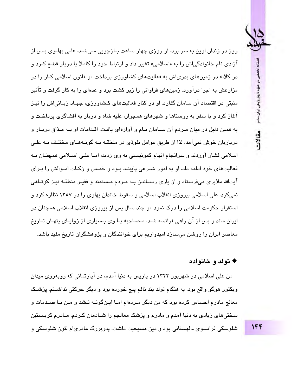فصلنامه تخصصي در حوزه تاریخ پژوهی ایران معاص

مقالات

روز در زندان اوین به سر برد. او روزی چهار ساعت بـازجویی مـیشـد. علـی پهلـوی پـس از آزادی نام خانوادگی اش را به «اسلامی» تغییر داد و ارتباط خود را کاملا با دربار قطـع کـرد و در کلاله در زمینهای پدریاش به فعالیتهای کشاورزی پرداخت. او قانون اسلامی کبار را در مزارعش به اجرا درآورد. زمینهای فراوانی را زیر کشت برد و عدهای را به کار گرفت و تأثیر مثبتی در اقتصاد آن سامان گذارد. او در کنار فعالیتهای کشاورزی، جهـاد زیـانی|ش را نیـز آغاز کرد و با سفر به روستاها و شهرهای همجوار، علیه شاه و دربار به افشاگری پرداخت و به همین دلیل در میان مـردم آن ســامان نــام و آوازهای یافـت. اقـدامات او بــه مـذاق دربــار و درباريان خوش نمي آمد، لذا از طريق عوامل نفوذي در منطقــه بــه گونــههــاي مختلـف بــه علــي اسلامی فشار آوردند و سرانجام اتهام کمونیستی به وی زدند، امـا علـی اسـلامی همچنـان بـه فعالیتهای خود ادامه داد. او به امور شـرعی پایبنـد بـود و خمـس و زکـات امـوالش را بـرای آیتالله ملایری میفرستاد و از پاری رسـاندن بـه مـردم مـستمند و فقیـر منطقـه نیـز کوتـاهی نمیکرد. علی اسلامی پیروزی انقلاب اسلامی و سقوط خاندان پهلوی را در ۱۳۵۷ نظاره کرد و استقرار حکومت اسلامی را درک نمود. او چند سال پس از پیروزی انقلاب اسلامی همچنان در ایران ماند و پس از آن راهی فرانسه شـد. مـصاحبه بـا وی بـسیاری از زوایـای پنهـان تـاریخ معاصر ایران را روشن میسازد امیدواریم برای خوانندگان و پژوهشگران تاریخ مفید باشد.

### ♦ تولد و خانواده

من علی اسلامی در شهریور ۱۳۲۲ در پاریس به دنیا آمدم، در آپارتمانی که روبهروی میدان ویکتور هوگو واقع بود. به هنگام تولد بند نافم پیچ خورده بود و دیگر حرکتی نداشـتم. پزشـک معالج مادرم احساس کرده بود که من دیگر میردهام امیا ایینگوینه نیشد و مین ییا صیدمات و سختی،های زیادی به دنیا آمدم و مادرم و پزشک معالجم را شـادمان کـردم. مـادرم کریـستین شلوسکی فرانسوی ـ لهستانی بود و دین مسیحیت داشت. پدربزرگ مادریام لئون شلوسکی و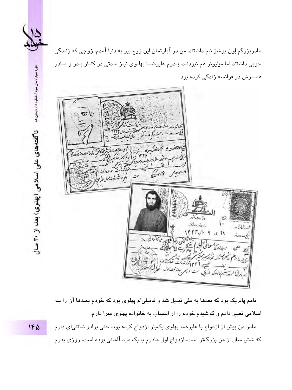

دوره سوم / سال سوم / شماره ۸ / تابستان ۸۵

ناگفتههای علی اسلامی (پهلوی) بعد از ۳۰ سال

مادربزرگم اِون بوشز نام داشتند. من در آپارتمان این زوج پیر به دنیا آمدم. زوجی که زنـدگی خوبی داشتند اما میلیونر هم نبودنـد. پـدرم علیرضــا پهلـوی نیـز مـدتی در کنـار پـدر و مـادر همسرش در فرانسه زندگی کرده بود.



نامم پاتریک بود که بعدها به علی تبدیل شد و فامیلیام پهلوی بود که خودم بعـدها آن را بــه اسلامی تغییر دادم و کوشیدم خودم را از انتساب به خانواده پهلوی مبرا دارم.

مادر من پیش از ازدواج با علیرضا پهلوی یکبار ازدواج کرده بود. حتی برادر نـاتنی|ی دارم که شش سال از من بزرگتر است. ازدواج اول مادرم با یک مرد آلمانی بوده است. روزی پدرم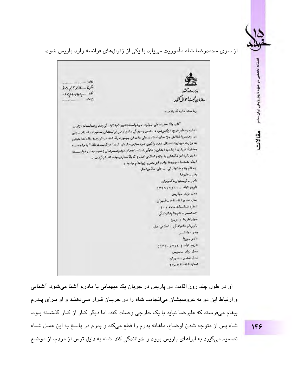فصلتامه

نحصص در حوزه تاریخ پژوهی ایران سام

مقالات

از سوی محمدرضا شاه مأموریت مییابد با یکی از ژنرالهای فرانسه وارد پاریس شود.

إفادون  $0.15/4 - 5.5$  $-15/1059 - 16$ بازمان ثمية إحوال كثه  $\mathcal{L}$ رياست ار ارد گذرناسد آقار. والا حضرت على بهلور درخواست تغييرنا بخانواد في وصد ورعناسفا، ازايمن اداره يتنافيرخروج ازكفيونمودي دفدين رسيدكي بالجام فرخواستثبان مدلوم ثدف اسناد سجلي ور وهصروا فغالش جزا سابراستاد سجلي خاندان بمهلورد ركذهنه دراثرتوميه غاءات اختص به وزارت درباروقت منتقل عده واكنون درد سترس سازيان عبت احوال نيست فلذا " با مراجعت بعدارك ابرازن ازناحيه ابشان ( فتوكبي شناسنا هعا يخود وهمسرشان )نسبت به درخواسست تخییرنا به انواد گیشان به واژه (اسلامی اصل ) که بلا معارض بوده اقدام گردید . ابنك شخصات ويوخانواده اش بشرح زيواعلام مشود : <sub>1</sub> - نام ونام خانواد ٿي - علي اسلامي اصل يدر \_طيوضا عادر -كريستيان اكسيعان تاريخ تولد - ١٢١١/٢١٩ مەل ئۆلد ميارىس بدل عد ورثناسنا، بالجران دساره دناسنا ه \_ ده / ١٠ ٢- همسر - نام ونا مدانوار کی سينيا ماريما ( مريم) نام ونام خانواد تمي -الملاس اصل بدر ـ والتـــر لحادر - دورًا تاريخ تولد و ١٢٧/١٧/١٤ مدل تولد سنييس نجل صدير دطيران شعاره شناستا ه -٢٤

او در طول چند روز اقامت در پاریس در جریان یک میهمانی با مادرم آشنا میشود. آشنایی و ارتباط این دو به عروسیشان میانجامد. شاه را در جریـان قـرار مـیدهنـد و او بـرای پـدرم پیغام میفرستد که علیرضا نباید با یک خارجی وصلت کند، اما دیگر کـار از کـار گذشــته بـود. شاه پس از متوجه شدن اوضاع، ماهانه پدرم را قطع میکند و پدرم در پاسخ به این عمـل شـاه تصمیم میگیرد به ایراهای پاریس برود و خوانندگی کند. شاه به دلیل ترس از مردم، از موضع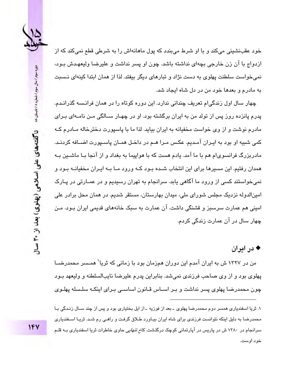

خود عقبنشینی میکند و با او شرط میبندد که پول ماهانهاش را به شرطی قطع نمیکند که از ازدواج با آن زن خارجی بچهای نداشته باشد. چون او پسر نداشت و علیرضا ولیعهـدش بـود، نمی خواست سلطنت پهلوی به دست نژاد و تبارهای دیگر بیفتد. لذا از همان ابتدا کینهای نـسبت په مادرم و بعدها خود من در دل شاه ایجاد شد.

چهار سال اول زندگی!م تعریف چندانی ندارد. این دوره کوتاه را در همان فرانـسه گذرانـدم. پدرم پانزده روز پس از تولد من به ایران برگشته بود. او در چهـار ســالگی مـن نامــهای بـرای مادرم نوشت و از وی خواست مخفیانه به ایران بیاید. لذا ما با پاسپورت دخترخاله مـادرم کـه کمی شبیه او بود به ایـران آمـدیم. عکـس مـرا هـم در داخـل همـان پاسـیورت اضـافه کردنـد. مادربزرگ فرانسویام هم با ما آمد. یادم هست که با هواپیما به بغداد و از آنجا بـا ماشــین بـه همدان رفتیم. این مسیرها برای این انتخاب شـده بـود کـه ورود مـا بـه ایـران مخفیانـه بـود و نمی،خواستند کسی از ورود ما آگاهی پابد. سرانجام به تهران رسیدیم و در عمـارتی در پـارک امينالدوله نزديک مجلس شورای ملی، ميدان بهارستان، مستقر شديم. در همان محل برادر علی امینی هم عمارت سرسبز و قشنگی داشت. آن عمارت به سبک خانههای قدیمی ایران بـود. مـن ڇهار سال در آن عمارت زندگي کردم.

### ♦ در ادران

من در ۱۳۲۷ ش به ایران آمدم این دوران همزمان بود با زمانی که ثریا<sup>\</sup> همـسر محمدرضــا پهلوی بود و از وی صاحب فرزندی نمی شد. بنابراین پدرم علیرضا نایبالسلطنه و ولیعهد بـود چون محمدرضا پهلوی پسر نداشت و بـر اســاس قــانون اسـاســی بـرای اینکــه سلــسله پهلــوی

۱. ٹریا اسفندیاری همسر دوم محمدرضا پهلوی ۔ بعد از فوزیه ۔ از ایل بختیاری بود و پس از چند سـال زنـدگی بـا محمدرضا به دلیل اینکه نتوانست فرزندی برای شاه ایران بیـاورد طـلاق گرفـت و راهـی رم شـد. ثریـا اســفندیاری سرانجام در ۱۳۸۰ ش در پاریس در آپارتمانی کوچک درگذشت*. کاخ تنهایی* حاوی خاطرات ثریا اسفندیاری بـه قلـم خود اوست.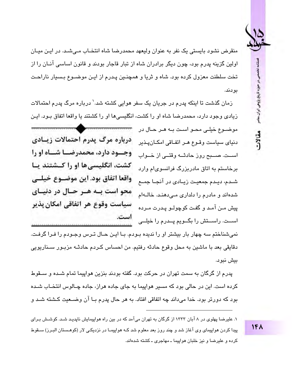

مقالات

منقرض نشود پایستی یک نفر به عنوان ولیعهد محمدرضا شاه انتخیاب مے شید. در اپن میبان اولین گزینه پدرم بود، چون دیگر برادران شاه از تبار قاجار بودند و قانون اساسی آنـان را از تخت سلطنت معزول کرده بود. شاه و ثریا و همچنـین پـدرم از ایـن موضــوع بـسیار ناراحـت بو دند.

زمان گذشت تا اینکه پدرم در جریان یک سفر هوایی کشته شد. ٰ درباره مرگ پدرم احتمالات زیادی وجود دارد، محمدرضا شاه او را کشت، انگلیسی۱ما او را کشتند یا واقعا اتفاق بـود. ایـن موضيوع خيلے، محبو است بيه هير حيال در درباره مرگ پدرم احتمالات ز سادی دنياي سياست وقـوع هـر اتفـاقى امكـان يـذير وجسود دارد، محمدرضیا شیناه او را است. صبح روز حادثــه وقتــى از خــواب کشت، انگلیسی ها او را کـشتند یـا برخاستم به اتاق مادربزرگ فرانسوی ام وارد واقعا اتفاق بود. اين موضـوع خيلــى شـدم، دیـدم جمعیـت زیـادی در آنجـا جمـع محو است بـه هـر حـال در دنيـاي شدهاند و مادرم را دلداری مے،دهند. خالــهام سياست وقوع هر اتفاقي امكان پذير ييش مـن آمـد و گفت کوچولـو پـدرت مـرده است. اســت. راســتش را بگــویم پــدرم را خیلــی نمیشناختم سه چهار بار بیشتر او را ندیده بـودم. بـا ایـن حـال تـرس وجـودم را فـرا گرفـت. دقايقي بعد با ماشين به محل وقوع حادثه رفتيم. من احساس كـردم حادثـه مزبـور سـناريويي

ىىش نىو د.

پدرم از گرگان به سمت تهران در حرکت بود. گفته بودند بنزین هواپیما تمام شـده و سـقوط کر ده است. این در حالی بود که مسیر هواپیما به جای جاده هران، جاده چـالوس انتخـاب شـده بود که دورتر بود. خدا میداند چه اتفاقی افتاد. به هر حال پدرم بـا آن وضــعیت کـشته شــد و

۱. علیرضا پهلوی در ۸ آبان ۱۳۳۳ از گرگان به تهران می آمد که در بین راه هواپیمایش ناپدیـد شـد. کوشـش بـرای پیدا کردن هواپیمای وی آغاز شد و چند روز بعد معلوم شد کـه هواپیمـا در نزدیکـی لار (کوهـستان البـرز) ســقوط کرده و علیرضا و نیز خلبان هواپیما ـ مهاجری ـ کشته شدهاند.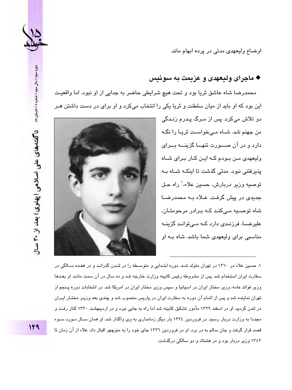

اوضاع وليعهدي مدتي در پرده ابهام ماند.

### ♦ ماجراي وليعهدي و عزيمت په سوئيس

محمدرضا شاه عاشق ثريا بود و تحت هيچ شرايطي حاضر به جدايي از او نبود. اما واقعيت این پود که او پاید از میان سلطنت و ثریا یکی را انتخاب میکرد و او پرای در دست داشتن هیر



۱۳٤۲ وزیر دربار بود و در هشتاد و دو سالگی درگذشت.

توصيه وزير دربارش، حسين علاء،' راه حـل حدیدی در پیش گرفت. عبلاء بـه محمدرضیا شاه توصيه مے كند كـه بـرادر مرحومتـان، علیرضــا، فرزنـدی دارد کــه مـے توانـد گزینــه مناسبی برای ولیعهدی شما باشد. شاه بـه او ۱. حسین علاء در ۱۲۲۰ در تهران متولد شـد. دوره ابتـدایی و متوسـطه را در لنـدن گذرانـد و در هفـده سـالگی در سفارت ایران استخدام شد. پس از مشروطه رئیس کابینه وزارت خارجه شد و ده سال در آن سمت مانـد. او بعـدها ورزیر فوائد عامه، ورزیر مختار ایران در اسپانیا و سپس ورزیر مختار ایران در امریکا شد. در انتخابات دوره پینجم از تهران نماینده شد و پس از اتمام آن دوره به سفارت ایران در پاریس منصوب شد و چندی بعد وزیـر مختـار ایـران در لندن گردید. او در اسفند ۱۳۲۹ مأمور تشکیل کابینه شد اما راه به جایی نبرد و در اردیبهشت ۱۳۳۰ کنار رفت و مجددا به وزارت دربار رسید. در فروردین ١٣٣٤ بار دیگر زمامداری به وی واگذار شد. او همان سـال مـورد سـوء

قصد قرار گرفت و جان سالم به در برد. او در فروردین ١٣٣٦ جای خود را به منوچهر اقبال داد. علاء از آن زمان تا

دوره سوم / سال سوم / شماره ۸ / تابستان ۸۵ ناگفتههای علی اسلامی (پهلوی) بعد از ۳۰ سلل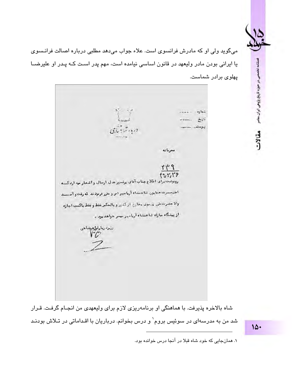

فصلنامه تخصصى در حوزه تاريخ پژوهى ايران معاصر

مقالات

میگوید ولی او که مادرش فرانسوی است. علاء جواب میدهد مطلبی درباره اصالت فرانـسوی یا ایرانی بودن مادر ولیعهد در قانون اساسی نیامده است، مهم پدر است کـه پـدر او علیرضـا یهلوی برادر شماست.

ボー 城 شعاره المعندد ناريخ  $L_{\text{long}}$ درمارشيش بي يوست معرباته  $\mathfrak{f} \mathfrak{f}$  $f^*_{11}f'_1f'_2$ رونوشت راى اطلاع جناب آقاى برفدور عدل ارسال واشعار جه اردكسه اطيعتبرت هتايون تناعنشاه آريامهر امر وحترر فربوقاند كه رفت و آصنسد والاحضرت على ورسوى وخارج أزكدور و بالحكم فقط وقفط باكسب اجازه از پیشگاه مارك شاعبشاه آربا- ور بيسر خواهديود . دندو دیکرشکرههناخی<br>دهم

شاه بالاخره پذیرفت. با هماهنگی او برنامهریزی لازم برای ولیعهدی من انجـام گرفـت. قـرار شد من به مدرسهای در سوئیس بروم` و درس بخوانم. درباریان با اقـداماتی در تـلاش بودنـد

 $10.4$ 

۱. همانجایی که خود شاه قبلا در آنجا درس خوانده بود.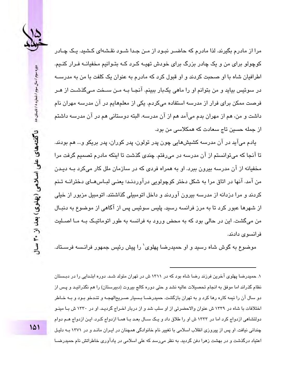

مرا از مادرم بگیرند. لذا مادرم که حاضیر نیود از مین جیدا شیود نقشهای کشید. یک چیادر کوچولو برای من و یک چادر بزرگ برای خودش تهیـه کـرد کـه بتـوانیم مخفیانـه فـرار کنـیم. اطرافیان شاه با او صحبت کردند و او قبول کرد که مادرم به عنوان یک کلفت با من به مدرسـه در سوئيس بيايد و من بٽوانم او را ماهي پکٻار ببينم. آنجـا ٻــه مـن ســخت مـي6گذشـت از هـر فرصت ممکن برای فرار از مدرسه استفاده میکردم. یکی از معلمهایم در آن مدرسه مهران نام داشت و من، هم از مهران بدم میآمد هم از آن مدرسه. البته دوستانی هم در آن مدرسه داشتم از جمله حسین تاج سعادت که همکلاسی من بود.

يادم ميآيد در آن مدرسه کشيشهايي چون پدر تولون، پدر کوران، پدر بريکو و... هم بودند. تا آنجا که می توانستم از آن مدرسه در می رفتم. چندی گذشت تا اینکه مادرم تصمیم گرفت مرا مخفیانه از آن مدرسه بیرون بیرد. او به همراه فردی که در سازمان ملل کار میکرد بــه دیــدن من آمد. آنها در اتاق مرا به شکل دختر کوچولویی درآوردنـد؛ یعنـی لبـاس۵مـای دخترانــه تـنم کردند و مرا دزدانه از مدرسه بیرون آوردند و داخل اتومبیلی گذاشتند. اتومبیل مزبور از خیلی از شهرها عبور کرد تا به مرز فرانسه رسید. پلیس سوئیس پس از آگاهی از موضوع به دنیـال من میگشت. این در حالی بود که به محض ورود به فرانسه به طور اتوماتیـک بــه مــا اصــلیت فر انسو ی دادند.

موضوع به گوش شاه رسید و او حمیدرضا پهلوی` را پیش رئیس جمهور فرانـسه فرسـتاد.

۱. حمدر ضا پهلوی آخرین فرزند رضا شاه بود که در ۱۳۱۱ ش در تهران متولد شـد. دوره ابتـدابی را در دیـستان نظام گذراند اما موفق به انجام تحصیلات عالیه نشد و حتی دوره کالج پیروت (دبیرستان) را هم نگذرانیید و پیس از دو سال آن را نعمه کاره رها کرد و به تهران بازگشت. جمدر ضبا پیسیار صبر بخالهجیه و تنبذی بیود و بیه خیاطر اختلافات با شاه در ۱۳۳۹ ش عنوان والاحضرتی از او سلب شد و از دربار اخـراج گردیـد. او در ۱۳۳۰ ش بـا مینـو دولتشاهی ازدواج کرد اما در ۱۳۳۳ ش او را طلاق داد و یـک ســال بعـد بـا همـا ازدواج کـرد. ایـن ازدواج هــم دوام چندانی نیافت. او پس از پیروزی انقلاب اسلامی با تغییر نام خانوادگی همچنان در ایـران مانـد و در ۱۳۷۱ بـه دلیـل اعتیاد درگذشت و در بهشت زهرا دفن گردید. به نظر میرسد که علی اسلامی در یادآوری خاطراتش نام حمیدرضـا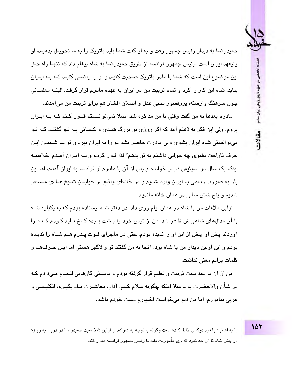مللامه تخصص در حوزه تاریخ پژوهی ایران معاص مقالات

حمیدرضا به دیدار رئیس جمهور رفت و به او گفت شما باید پاتریک را به ما تحوییل بدهییه، او ولیعهد ایران است. رئیس جمهور فرانسه از طریق حمیدرضا به شاه پیغام داد که تنهـا راه حـل این موضوع این است که شما با مادر پاتریک صحبت کنیـد و او را راضـی کنیـد کـه پـه ایـران بیاید. شاه این کار را کرد و تمام تربیت من در ایران به عهده مادرم قرار گرفت. البتـه معلمــانی چون سرهنگ وارسته، پروفسور پحیی عدل و اصلان افشار هم برای تربیت من میآمدند.

مادرم بعدها به من گفت وقتی با من مذاکره شد اصلا نمیتوانـستم قبـول کـنم کـه بـه ایـران بروم، ولی این فکر به ذهنم آمد که اگر روزی تو بزرگ شـدی و کـسانی بـه تـو گفتنـد کـه تـو میتوانستی شاه ایران بشوی ولی مادرت حاضر نشد تو را به ایران ببرد و تو بـا شـندن ایـن حرف ناراحت بشوي چه جوابي داشتم به تو بدهم؟ لذا قبول كردم و بــه ايـران آمـدم. خلاصــه اینکه یک سال در سوئیس درس خواندم و پس از آن با مادرم از فرانسه به ایران آمدم، اما این بار به صورت رسمی به ایران وارد شدیم و در خانهای واقــع در خیابــان شــیخ هــادی مـستقر شديم و پنج شش سالي در همان خانه مانديم.

اولین ملاقات من با شاه در همان ایام روی داد. در دفتر شاه ایستاده بودم که به یکباره شاه با آن مدالهای شاهی اش ظاهر شد. من از ترس خود را پـشت پـرده کـاخ قـایم کـردم کـه مـرا آوردند پیش او. پیش از این او را ندیده بودم. حتی در ماجرای فـوت پـدرم هـم شـاه را ندیـده بودم و اين اولين ديدار من با شاه بود. آنجا به من گفتند تو والاگهر هستی اما ايـن حـرفـهــا و كلمات برايم معنى نداشت.

من از آن به بعد تحت تربیت و تعلیم قرار گرفته بودم و بایستی کارهایی انجـام مـی،دادم کـه در شأن والاحضرت بود. مثلا اينكه چگونه سلام كـنم، آداب معاشـرت يـاد بگيـرم، انگليـسي و عربی بیاموزم، اما من دلم میخواست اختیارم دست خودم باشد.

15٢

را به اشتباه با فرد دیگری خلط کرده است وگرنه با توجه به شواهد و قراین شخصیت حمیدرضا در دربار به ویـژه در پیش شاه تا آن حد نبود که وی مأموریت یابد با رئیس جمهور فرانسه دیدار کند.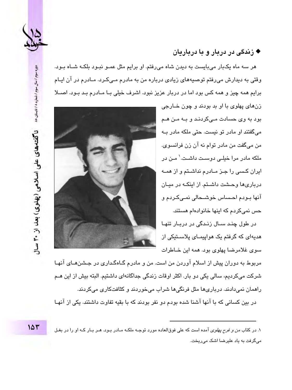

## ♦ زندگی در درمان و ما درمارمان

هر سه ماه یکبار میبایست به دیدن شاه میرفتم. او برایم مثل عمـو نبـود بلکـه شـاه بـود. وقتی به دیدارش می رفتم توصیههای زیادی درباره من به مادرم مے کـرد. مـادرم در آن ایـام برایم همه چیز و همه کس بود اما در دریار عزیز نبود. اشرف خیلی یا میادرم یید پیود. اصبلا

> زنهای پهلوی با او بد بودند و چون خـارجی بود به وی حسادت مےکردند و بـه مـن هـم می گفتند او مادر تو نیست. حتی ملکه مادر ب من ميگفت من مادر توام نه آن زن فرانسوي. ملکه مادر مرا خطے دوست داشت۔<sup>\</sup> مـن در ایران کسی را جـز مــادرم نداشــتم و از همــه درباریها وحشت داشتم. از اینکه در میان آنها بـودم احـساس خوشـحالی نمـیکـردم و حس نمے کردم که اینها خانوادهام هستند.

> در طول چند سـال زنـدگی در دربـار تنهـا هدیهای که گرفتم یک هواپیمـای پلاسـتیکی از سوی غلامرضا پهلوی بود. همه این خـاطرات



مربوط به دوران پیش از اسلام آوردن من است. من و مادرم گـاهگـداری در جـشنهـای آنهـا شرکت مے کردیم، سالی یکی دو بار. اکثر اوقات زندگی جداگانهای داشتیم. البته بیش از این هـم راهمان نمی،دادند. درباریها مثل فرنگیها شراب میخوردند و کثافتکاری میکردند.

در بین کسانی که با آنها آشنا شده بودم دو نفر بودند که با بقیه تفاوت داشتند. یکی از آنهـا

۱. در کتاب *من و فرح پهلوی* آمده است که علی فوقالعاده مورد توجـه ملکـه مـادر بـود. هـر بـار کـه او را در بغـل میگرفت به یاد علیرضا اشک میریخت.

دوره سوم / سال سوم / شماره ۸ / تابستان ۸۵ ناگفتههای علی اسلامی (پهلوی) بعد از ۳۰ سال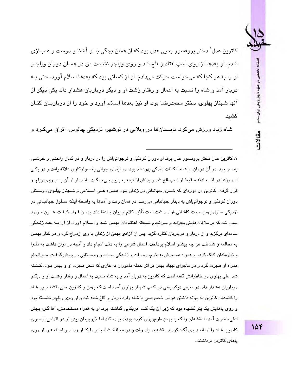فصلنامه تخصصي در حوزه تاریخ پژوهی ایران معاص مقالات

کاترین عدل` دختر پروفسور بحبی عدل بود که از همان بچگی با او آشنا و دوست و همپیازی شدم. او بعدها از روی اسب افتاد و فلج شد و روی ویلچر نشست من در همـان دوران ویلچـر او را په هن کچا که می خواست چرکت می دادم. او از کسانی پورد که بعدها اسلام آورد. چتی پـه دربار آمد و شاه را نسبت به اعمال و رفتار زشت او و دیگر درباریان هشدار داد. یکی دیگر از آنها شهناز پهلوی، دختر محمدرضا بود. او نیز بعدها اسلام آورد و خود را از درباریـان کنـار كشىد.

شاه زياد ورزش ميکرد. تابستانها در ويلايي در نوشهر، نزديکي چالوس، اتراق ميکـرد و

۱. کاترین عدل دختر پروفسور عدل بود. او دوران کودکی و نوجوانی|ش را در دربار و در کمال راحتی و خوشبی به سر برد. در آن دوران از همه امکانات زندگی بهرهمند بود. در ابتدای جوانی به سوارکاری علاقه یافت و در یکی از روزها در اثر حادثه سقوط از اسب فلج شد و بدنش از نیمه به پایین بـیحرکت مانـد. او از آن پـس روی ویلچـر قرار گرفت. کاترین در دورهای که خسرو حهانیانی در زندان پود همبراه علی اسپلامی و شبهناز پهلوی دوستان دوران کو دکے اور نو جوانے اش به دیدار جھانیاتی مے رافت. در ھمان رفت و آمدھا به واسطه اینکه سیلول جھانیتاتی در نزدیکی سلول بهمن حجت کاشانی قرار داشت تحت تأثیر کلام و بیان و اعتقادات بهمـن قـرار گرفـت. همـین مـوارد سبب شد که بر ملاقاتهایش بیفزاید و سرانجام شـیفته اعتقـادات بهمـن شـد و اسـلام آورد. از آن بـه بعـد زنـدگی سادهای برگزید و از دربار و درباریان کناره گزید. پس از آزادی بهمن از زندان با وی ازدواج کرد و در کنار بهمـن به مطالعه و شناخت هر چه بیشتر اسلام پرداخت. اعمال شرعی را به دقت انجام داد و آنچه در توان داشت به فقـرا و نیازمندان کمک کرد. او همراه همسرش به خرمدره رفت و زنـدگی ســاده و روســتابی در پـیش گرفـت. ســرانجام همراه او هجرت کرد و در ماجرای جهاد بهمن بر اثر حمله ماموران به غاری که محل هجرت او و بهمن بـود، کـشته شد. علی پهلوی در خاطراتش گفته است که کاترین به دربار آمد و به شاه نسبت به اعمال و رفتار زشت او و دیگـر درباریان هشدار داد. در منبعی دیگر بعنی در کتاب شهناز پهلوی آمده است که یهمن و کاترین حتی نقشه ترور شاه را کشیدند. کاترین به پهانه داشتن عرض خصوصی یا شاه وارد دربار و کاخ شاه شد و او روی ویلچر نشسته بود و روی پاهایش یک پتو کشیده بود که زیر آن یک کلت امریکایی گذاشته بود. او به همراه مستخدمش، آقا گـل، پـیش اعلے حضرت آمد تا نقشهای را که با بهمن طرحریزی کرده بودند پیاده کند اما خبرچینان پیش از هر اقدامی از سوی کاترین، شاه را از قصد وی آگاه کردند. نقشه بر باد رفت و دو محافظ شاه پتـو را کنـار زدنـد و اســلـحه را از روی پامای کاترین برداشتند.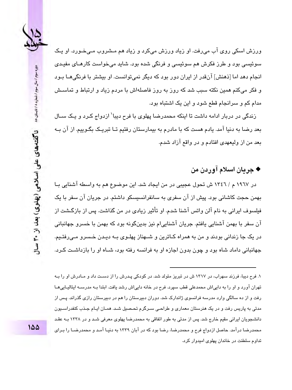

ورزش اسکی روی آب می٫فت. او زیاد ورزش میکرد و زیاد هم مـشروب مـیٖخـورد. او یـک سوئیسی بود و طرز فکرش هم سوئیسی و فرنگی شده بود. شاید می خواست کارهـای مفیـدی انجام دهد اما [ذهنش] آنقدر از ایران دور بود که دیگر نمی توانست. او بیشتر با فرنگی هــا بـود و فکر میکنم همین نکته سبب شد که روز به روز فاصلهاش با مردم زیاد و ارتباط و تماســش مدام کم و سرانجام قطع شود و این یک اشتباه بود.

زندگی در دربار ادامه داشت تا اینکه محمدرضا پهلوی با فرح دیبا<sup>\</sup> ازدواج کـرد و یـک ســال بعد رضا به دنیا آمد. یادم هست که با مادرم به بیمارستان رفتیم تـا تبریـک بگـوییم. از آن بـه بعد من از ولیعهدی افتادم و در واقع آزاد شدم.

## ♦ جريان اسلام آوردن من

در ۱۹٦۷ م / ١٣٤٦ ش تحول عجيبي در من ايجاد شد. اين موضوع هم به واسطه آشنايي بـا پهمن حجت کاشانی پود. پیش از آن سفری به سانفرانسیسکو داشتم. در چرپان آن سفر یا یک فیلسوف ایرانی به نام آلن واتس آشنا شدم. او تأثیر زیادی در من گذاشت. پس از بازگشت از آن سفر با بهمن آشنایی یافتم. جریان آشنایی!م نیز بدینگونه بود که بهمن با خسرو جهانبانی در يک جا زندانی بودند و من به همراه کـاترين و شــهناز پهلـوی بــه ديـدن خـسرو مـی٫رفتـيم. جهانبانی داماد شاه بود و چون بدون اجازه او به فرانسه رفته بود، شـاه او را بازداشـت کـرد.

۱. فرح دیبا، فرزند سهراب، در ۱۳۱۷ ش در تبریز متولد شد. در کودکی پـدرش را از دسـت داد و مـادرش او را بـه تهران آورد و او را به داییاش محمدعلی قطب سپرد. فرح در خانه داییاش رشد یافت. ابتدا بیه مدرسیه ابتالییایی هیا رفت و از ده سالگی وارد مدرسه فرانسوی ژاندارک شد. دوران دبیرستان را هم در دبیرستان رازی گذراند. پس از مدتی به پاریس رفت و در یک هنرستان معماری و طراحی سـرگرم تحـصیل شـد. همـان ایـام جـذب کنفدراســیون دانشجویان ایرانی مقیم خارج شد. پس از مدتی به طور اتفاقی به محمدرضا پهلوی معرفی شـد و در ۱۳۳۸ بـه عقـد محمدرضا در آمد. حاصل ازدواج فرح و محمدرضا، رضا بود که در آبان ۱۳۳۹ به دنیـا آمـد و محمدرضـا را بـرای تداوم سلطنت در خاندان پهلوی امیدوار کرد.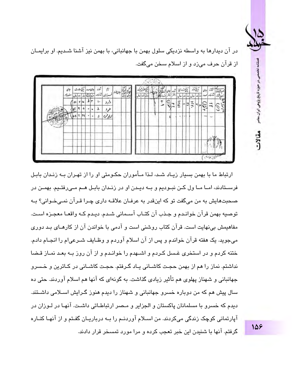

فصلنامه تخصصي در حوزه تاريخ پژوهي ايران معاصر

مقالات

در آن دیدارها به واسطه نزدیکی سلول بهمن با جهانبانی، با بهمن نیز آشنا شدیم. او برایمـان از قرآن حرف می;د و از اسلام سخن میگفت.



ارتباط ما یا یهمن بسیار زیباد شید، لیذا میأموران حکومتی او را از تهیران یبه زنیدان پاییل فرســتادند، امــا مــا ول كــن نبــوديم و بــه ديــدن او در زنــدان بابـل هــم مــي رفتــيم. بهمــن در صحبتهايش به من ميگفت تو كه اينقدر به عرفـان علاقـه داري چـرا قـرآن نمـيخـواني؟ بـه توصيه بهمن قرآن خوانـدم و جـذب آن كتـاب آسـماني شـدم. ديـدم كـه واقعـا معجـزه اسـت. مفاهیمش بینهایت است. قرآن کتاب روشنی است و آدمی با خواندن آن از کارهـای بـد دوری میجوید. یک هفته قرآن خواندم و پس از آن اسلام آوردم و وظـایف شــرعیام را انجــام دادم. ختنه کردم و در استخری غـسل کـردم و اشــهدم را خوانـدم و از آن روز بــه بعـد نمـاز قـضا نداشتم. نماز را هم از بهمن حجت کاشـانی پـاد گـرفتم. حجـت کاشـانی در کـاترین و خـسرو جهانبانی و شهناز پهلوی هم تأثیر زیادی گذاشت. به گونهای که آنها هم اسلام آوردند. حتی ده سال پیش هم که من دوباره خسرو جهانبانی و شهناز را دیدم هنوز گـرایش اسـلامی داشـتند. دیدم که خسرو با مسلمانان پاکستان و الجزایر و مـصر ارتباطـاتی داشـت. آنهـا در لـوزان در آپارتمانی کوچک زندگی میکردند. من اســلام آوردنــم را بــه درباریــان گفـتم و از آنهـا کنــاره گرفتم. آنها با شنیدن این خبر تعجب کرده و مرا مورد تمسخر قرار دادند.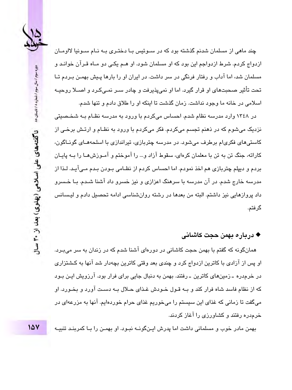

چند ماهی از مسلمان شدنم گذشته بود که در سبوئیس بیا دختیری بیه نیام سبونیا لااومیان ازدواج کردم. شرط ازدواجم این بود که او مسلمان شود. او هـم یکـی دو مـاه قـرآن خوانـد و مسلمان شد، اما آداب و رفتار فرنگی در سر داشت. در ایران او را بارها پـیش بهمـن بـردم تـا تحت تأثیر صحبتهای او قرار گیرد. اما او نمی،پذیرفت و چادر سـر نمـیکـرد و اصــلا روحیــه اسلامی در خانه ما وجود نداشت. زمان گذشت تا اینکه او را طلاق دادم و تنها شدم.

در ۱۳٤۸ وارد مدرسه نظام شدم. احساس میکردم با ورود به مدرسه نظـام بـه شخـصبتی نزدیک میشوم که در ذهنم تجسم میکردم. فکر میکردم با ورود به نظـام و ارتـش برخـی از کاستی های فکریام برطرف می شود. در مدرسه چتربازی، تیراندازی با اسلحههـای گونــاگون، کاراته، جنگ تن به تن با معلمان کرهای، سقوط آزاد و… را آموختم و آمـوزشهـا را بـه پایـان بردم و دیپلم چتربازی هم اخذ نمودم. اما احساس کردم از نظـامی بـودن بـدم مـیآیـد. لـذا از مدرسه خارج شدم. در آن مدرسه با سرهنگ اعزازی و نیز خسرو داد آشنا شـدم. بـا خـسرو داد پروازهایی نیز داشتم. البته من بعدها در رشته روانشناسی ادامه تحصیل دادم و لیسانس گرفتم.

### ♦ درباره بهمن حجت كاشاني

همانگونه که گفتم با بهمن حجت کاشانی در دورهای آشنا شدم که در زندان به سر میبـرد. او پس از آزادی با کاترین ازدواج کرد و چندی بعد وقتی کاترین بچهدار شد آنها به کـشتزاری در خرمدره ـ زمینهای کاترین ـ رفتند. بهمن به دنبال جایی برای فرار بود. آرزویش ایـن بـود که از نظام فاسد شاه فرار کند و بـه قـول خـودش غـذای حـلال بـه دسـت آورد و بخـورد. او میگفت تا زمانی که غذای این سیستم را میخوریم غذای حرام خوردهایم. آنها به مزرعهای در خرمدره رفتند و کشاورزی را آغاز کردند.

بهمن مادر خوب و مسلمانی داشت اما پدرش ایـنگونــه نبـود. او بهمـن را بـا کمربنـد تنبیــه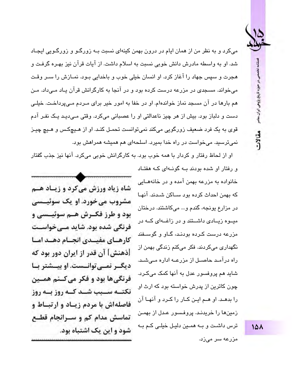صلتاما ، در حوزه تاریخ پژوهی ایران سام مقالات

میکرد و به نظر من از همان ایام در درون بهمن کینهای نسبت بـه زورگـو و زورگـویی ایجـاد شد. او به واسطه مادرش دانش خوبی نسبت به اسلام داشت. از آیات قرآن نیز بهـره گرفـت و هجرت و سپس جهاد را آغاز کرد. او انسان خیلی خوب و باخدایی بـود. نمـازش را سـر وقـت مے خواند. مسجدی در مزرعه درست کرده بود و در آنجا به کار گرانش قرآن بیاد مے داد. مین هم بارها در آن مسجد نماز خواندهام. او در خفا به امور خیر برای مـردم مـی،رداخـت. خیلـی دست و دلباز بود. بیش از هر چیز ناعدالتی او را عصبانی میکرد. وقتی مـی،دیـد یـک نفـر آدم قوی به یک فرد ضعیف زورگویی میکند نمی،توانست تحمـل کنـد. او از هـیچکـس و هـیچ چیـز نمی ترسید. می خواست در راه خدا بمیرد. اسلحهای هم همیشه همراهش بود.

او از لحاظ رفتار و کردار با همه خوب بود. به کارگرانش خوبی میکرد. آنها نیز جذب گفتار و رفتار او شده بودند ب گونهای کـه هفتـاد

خانواده به مزرعه بهمن آمده و در خانههـایی كه بهمن احداث كرده بود سـاكن شـدند. آنهـا در مزارع پونجه، گندم و... میکاشتند. درختان میــوه زیــادی داشــتند و در زاغــهای کــه در مزرعه درست کـرده بودنـد، گـاو و گوسـفند نگهداری میکردند. فکر میکنم زندگی بهمن از راه درآمـد حاصــل از مزرعــه اداره مـیشـد. شاید هم پروفسور عدل به آنها کمک میکرد. چون کاترین از پدرش خواسته بود که ارث او را بدهـد. او هـم ايـن كـار را كـرد و آنهـا آن زمینها را خریدند. پروفسور عـدل از بهمـن ترس داشت و بـه همـین دلیـل خیلـی کـم بـه مزرعه سر میزد.

شاه زیاد ورزش می کرد و زیباد هیم مشروب می خورد. او یک سوئیےسی يود و طرز فكرش هيم سوئييسي و فرنگی شدہ بود. شاید مے خواست کارهای مفیلدی انجنام دهند امنا [ذهنش] آن قدر از ایران دور بود که دیگ رنمے توانست. او بیسشتر با فرنگی ها بود و فکر می کنم همین نکتــه ســبب شــد کــه روز بــه روز فاصلهاش با مردم زيـاد و ارتبـاط و تماسش مدام کم و سـرانجام قطـع شود و این یک اشتباه بود.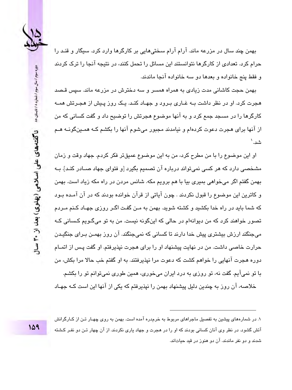

بهمن چند سال در مزرعه ماند. آرام آرام سختیٍهایی بر کارگرها وارد کرد. سبگار و قنـد را حرام کرد. تعدادی از کارگرها نتوانستند این مسائل را تحمل کنند، در نتیجه آنجا را ترک کردند و فقط پنج خانواده و بعدها دو سه خانواده آنجا ماندند.

بهمن حجت کاشانی مدت زیادی به همراه همسر و سه دخترش در مزرعه ماند. سپس قـصد هجرت کرد. او در نظر داشت بــه غــاری بــرود و جهــاد کنــد. یــک روز پــیش از هجــرتش همــه کارگرها را در مسجد جمع کرد و به آنها موضوع هجرتش را توضیح داد و گفت کسانی که من از آنها برای هجرت دعوت کردهام و نیامدند مجبور میشوم آنها را بکشم کـه همـینگونـه هـم شد.'

او اين موضوع را با من مطرح كرد، من به اين موضوع عميقتر فكر كردم. جهاد وقت و زمان مشخصی دارد که هر کسی نمیتواند درباره آن تصمیم بگیرد [و فتوای جهاد صــادر کنـد]. بــه بهمن گفتم اگر میخواهی بمیری بیا با هم برویم مکه. شانس مردن در راه مکه زیاد است. بهمن و کاترین این موضوع را قبول نکردند . چون آیاتی از قرآن خوانده بودند که در آن آمـده بـود که شما باید در راه خدا بکشید و کشته شوید. بهمن به مـن گفـت اگـر روزی جهـاد کـنم مـردم تصور خواهند کرد که من دیوانهام در حالی که اینگونه نیست. من به تو می،گـویم کـسانی کـه میجنگند ارزش بیشتری پیش خدا دارند تا کسانی که نمیجنگند. آن روز بهمـن بـرای جنگیـدن حرارت خاصی داشت. من در نهایت پیشنهاد او را برای هجرت نیذیرفتم. او گفت پس از اتمـام دوره هجرت آنهایی را خواهم کشت که دعوت مرا نیذیرفتند. به او گفتم خب حالا مرا بکش، من با تو نمیآیم. گفت نه، تو روزی به درد ایران می خوری، همین طوری نمی توانم تو را بکشم.

خلاصه، آن روز به چندین دلیل پیشنهاد بهمن را نیذیرفتم که یکی از آنها این است کـه جهـاد

۱. در شمارههای پیشین به تفصیل ماجراهای مربوط به خرمدره آمده است. بهمن به روی چهـار تـن از کـارگرانش آتش گشود. در نظر وی آنان کسانی بودند که او را در هجرت و جهاد یاری نکردند. از آن چهار تـن دو نفـر کـشته شدند و دو نفر ماندند. آن دو هنوز در قید حیاتاند.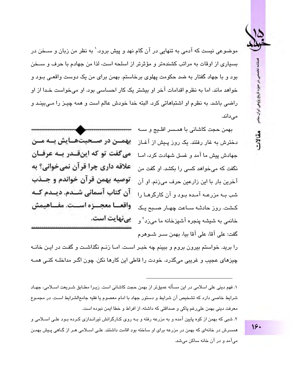كلتامه مقالات

موضوعی نست که آدمی به تنهایی در آن گام نهد و پیش برود.' به نظر من زبان و ســخن در بسیاری از اوقات به مراتب کشندهتر و مؤثرتر از اسلحه است، لذا من جهادم با حرف و ســخن بود و با جهاد گفتار به ضد حکومت پهلوی برخاستم. بهمن برای من یک دوست واقعے بـود و خواهد ماند. اما به نظر م اقدامات آخر او بیشتر یک کار احساسی بود. او می خواست خیدا از او راضی باشد. به نظرم او اشتباهاتی کرد. البته خدا خودش عالم است و همه چیـز را مـی،بینـد و می،داند.

> بهمن حجت کاشانی با همـسر افلـیج و سـه دخترش به غار رفتند. یک روز پیش از آغـاز حهادش پیش ما آمد و غسل شهادت کرد، امـا نگفت که می خواهد کسی را یکشد. او گفت من آخرين بار با اين زارعين حرف مي;نم. او آن شب په مزرعیه آمیده پیود و آن کارگرهیا را خانمي به شيشه پنجره آشپزخانه ما مي;زد<sup>۲</sup> و گفت: علے، آقا، علے، آقا بیا، بھمن سـر شـوهرم

بهمتن در صنحیتهنایش بنه مین مے گفت تو که اینقیدر بیه عرفیان علاقه داري چرا قرآن نمي خواني؟ به ِ توصيه پهمن قرآن خواندم و جــذب آن کتاب آسمانی شــدم. دیــدم کــه واقعسا معجسزه اسست. مفساهيمش بے نهایت است.

را برید. خواستم بیرون بروم و ببینم چه خبـر اسـت. امـا زنـم نگذاشـت و گفـت در ایـن خانــه چیزهای عجیب و غریبی میگذرد. خودت را قاطی این کارها نکن. چون اگـر مداخلــه کنــی همــه

۱. فهم دینے علی اسلامی در این مسأله عمیقتر از پهمن حجت کاشانی است. زیرا مطبابق شیریعت اسپلامی، جهباد شرایط خاصی دارد که تشخیص آن شرایط و دستور جهاد یا امام معصوم یا فقیه جامعالشرایط است. در محموع معرفت دینی بهمن علی رغم پاکی و صداقتی که داشته، از افراط و خطا ایمن نبوده است. ۲. شبی که بهمن از کوه پایین آمده و به مزرعه رفته و بـه روی کـارگرانش تیرانـدازی کـرده بـود علـی اسـلامی و همسرش در خانهای که بهمن در مزرعه برای او ساخته بود اقامت داشتند. علـی اسـلامی هـر از گـاهی پـیش بهمـن میآمد و در آن خانه ساکن میشد.

 $15.$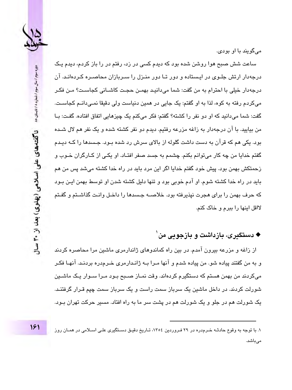

مے گویند یا او بودی۔

ساعت شش صبح هوا روشن شده بود که دیدم کسی در زد، رفتم در را باز کردم، دیدم یـک درجهدار ارتش جلـوی در ایـستاده و دور تـا دور منـزل را سـربازان محاصـره کـردهانـد. آن درجهدار خيلي با احترام به من گفت: شما مي،دانيـد بهمـن حجـت كاشــاني كجاسـت؟ مـن فكـر میکردم رفته به کوه، لذا به او گفتم: یک جایی در همین دنیاست ولی دقیقا نمـی،دانـم کجاسـت. گفت: شما میدانید که او دو نفر را کشته؟ گفتم: فکر میکنم یک چیزهایی اتفاق افتاده. گفت: بـا من بیایید. با آن درجهدار به زاغه مزرعه رفتیم. دیدم دو نفر کشته شده و یک نفر هم لال شـده بود. یکی هم که قرآن به دست داشت گلوله از بالای سرش رد شده بـود. جـسدها را کـه دیـدم گفتم خدایا من چه کار میتوانم بکنم. چشمم به جسد صفر افتـاد. او یکـی از کـارگران خـوب و زحمتکش بهمن بود. پیش خود گفتم خدایا اگر این مرد باید در راه خدا کشته میشد پس من هم بايد در راه خدا كشته شوم. او آدم خوبي بود و تنها دليل كشته شدن او توسط بهمن ايـن بـود که حرف بهمن را برای هجرت نیذیرفته بود. خلاصــه جـسدها را داخـل وانـت گذاشـتم و گفـتم لااقل اینها را ببرم و خاک کنم.

# ♦ دستگىرى، بازداشت و بازجوىي من`

از زاغه و مزرعه بیرون آمدم. در بین راه کماندوهای ژاندارمری ماشین مرا محاصره کردند و به من گفتند پیاده شو. من پیاده شدم و آنها مـرا بــه ژانـدارمری خـرمدره بردنـد. آنهـا فکـر میکردند من بهمن هستم که دستگیرم کردهاند. وقت نمــاز صــبـح بــود مــرا ســوار یــک ماشــین شورلت کردند. در داخل ماشین یک سرباز سمت راست و یک سرباز سمت چیم قـرار گرفتنـد. یک شورلت هم در جلو و یک شورلت هم در پشت سر ما به راه افتاد. مسیر حرکت تهران بـود.

۱. با توجه به وقوع حادثـه خـرمدره در ۲۹ فـروردین ۱۳۰٤، تـاریخ دقیـق دسـتگیری علـی اسـلامی در همـان روز مىباشد.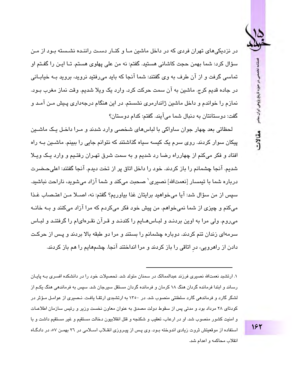فصلنامه تخصصي در حوزه تاریخ پژوهی ایران معاص مقالات

در نزدیکه های تهران فردی که در داخل ماشین مـا و کنـار دسـت راننـده نشـسته بـود از مـن سؤال کرد: شما بھمن حجت کاشانی مستبد. گفتم: نه من علی پھلوی مستم. تـا اپـن را گفـتم او تماسی گرفت و از آن طرف به وی گفتند: شما آنجا که باید می٫رفتید نروید، بروید بـه خیابـانی در جاده قديم كرج. ماشين به آن سمت حركت كرد. وارد يک ويلا شديم. وقت نماز مغرب بـود. نمازم را خواندم و داخل ماشین ژاندارمری نشستم. در این هنگام درجهداری پـیش مـن آمـد و گفت: دوستانتان به دنبال شما مي آيند. گفتم: كدام دوستان؟

لحظاتی بعد چهار جوان ساواکی با لباسهای شخصی وارد شدند و مـرا داخـل یـک ماشـین پیکان سوار کردند. روی سرم یک کسه سیاه گذاشتند که نتوانم جایی را ببینم. ماشـین بـه راه افتاد و فکر میکنم از چهارراه رضا رد شدیم و به سمت شرق تهـران رفتـیم و وارد یـک ویـلا شدیم. آنجا چشمانم را باز کردند. خود را داخل اتاق پر از تخت دیدم. آنجا گفتند: اعلی حـضرت درباره شما با تبمسار [نعمتالله] نصيري ٰ صحبت مے كند و شما آزاد مے شوید، ناراحت نباشید. سپس از من سؤال شد: آیا میخواهید برایتان غذا بیاوریم؟ گفتم: نه، اصــلا مـن اعتـصاب غـذا می کنم و چیزی از شما نمی خواهم. من پیش خود فکر می کردم که مرا آزاد می کنند و بـه خانـه می روم. ولی مرا به اوین بردنـد و لبـاس هــایم را کندنـد و قـرآن نقـرهای|م را گرفتنـد و لبــاس سرمهای زندان تنم کردند. دوباره چشمانم را بستند و مرا دو طبقه بالا بردند و پس از حرکت دادن از راهرویی، در اتاقی را باز کردند و مرا انداختند آنجا. چشمهایم را هم باز کردند.

۱. ارتشید نعمتالله نصیری فرزند عبدالممالک در سمنان متولد شد. تحصیلات خود را در دانشکده افسری ب و پاییان رساند و ابتدا فرمانده گردان هنگ ۱۸ کرمان و فرمانده گردان مستقل سپرچان شد. سپس به فرماندهی هنگ یکـم از لشگر گارد و فرماندهی گارد سلطنتی منصوب شد. در ۱۳۵۰ به ارتشیدی ارتقا یافت. نیصیری از عوامل میؤیر در کودتای ۲۸ مرداد بود و مدتی پس از سقوط دولت مصدق به عنوان معاون نخست وزیر و رئیس سازمان اطلاعـات و امنیت کشور منصوب شد. او در ارعاب، تعقیب و شکنجه و قتل انقلابیون دخالت مستقیم و غیر مستقیم داشت و با استفاده از موقعیتش ثروت زیادی اندوخته بود. وی پس از پیروزی انقلاب اسلامی در ٢٦ بهمن ٥٧، در دادگـاه انقلاب محاكمه و اعدام شد.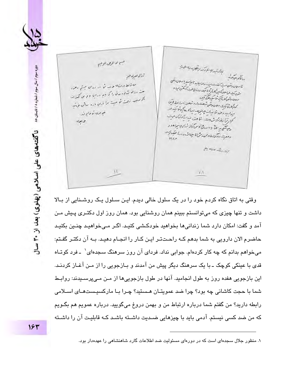ر<br>مسع الدانو*ي الوح*م بالمصبحة المسابس المراكبة بروالآله معاملين ززال نسرى مهز شاسلان دائعن سيقدأ فقدر ومون زندان مياريد أبرسيد باسلان دائعى ماتلا درن ورنم درزان بستم دعهد مند بنك ورسلان كار كورونيك ودنبالى حيث آويكن مود و مت ریاله مذبور در قارا که جدید را فاع این مکتبه اند سلاماتص بالمجانبة مأسكنده كركتك الروجية أوت فوست مرا ورابي باره ودعنى مؤينية كماكم شاكيك سلون وتعن شاهت دار و شاهته با مرا تحل اتبن میز بید رحمد شاخذ میزدهداری کرها کمیتوانید در خوړن ځونړن. كمجار ترأ فاند شيران و الأساء الأمراكات مبت  $G/H$ ويستور بقاء ارج أسالة تزكية مداهدر وعليت تكران وفرس كالمامين مردوسة المقبولين  $\frac{1}{\sigma}$ أبالا والأستث للصريح وجنج  $11$  $V/\sqrt{2}$ 

وقتی به اتاق نگاه کردم خود را در یک سلول خالی دیدم. ایـن سـلول یـک روشـنایی از بـالا داشت و تنها چیزی که می توانستم ببینم همان روشنایی بود. همان روز اول دکتـری پـیش مـن آمد و گفت: امکان دارد شما زندانی ها بخواهید خودکـشی کنیـد. اگـر مـی خواهیـد چنـین بکنیـد حاضرم الان دارویی به شما بدهم کـه راحـتتـر ایـن کـار را انجـام دهیـد. بـه آن دکتـر گفـتم: میخواهم بدانم که چه کار کردهام. جوابی نداد. فردای آن روز سرهنگ سجدهای` ـ فرد کوتـاه قدی با عینکی کوچک ـ با یک سرهنگ دیگر پیش من آمدند و بـازجویی را از مـن آغـاز کردنـد. اين پارچويي هغده روز به طول انجاميد. آنها در طول بازجويي ها از مين مييپرسپيند: روابط شما با حجت کاشانی چه بود؟ چرا ضد عمویتـان هـستید؟ چـرا بـا مارکسیـستهـای اسـلامی رابطه داريد؟ من گفتم شما درباره ارتباط من و بهمن دروغ میگویید. درباره عمویم هم بگـویم که من ضد کسی نیستم. آدمی باید با چیزهایی ضدیت داشـته باشـد کـه قابلیـت آن را داشـته

۱. منظور جلال سجدهای است که در دورهای مسئولیت ضد اطلاعات گارد شاهنشاهی را عهدهدار بود.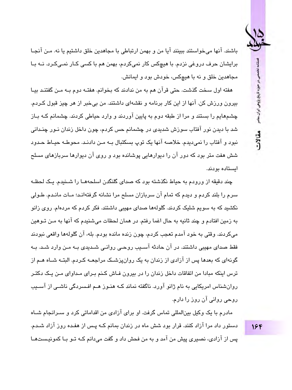

مقالات

باشند. آنها مي خواستند ببينند آيا من و بهمن ارتباطي با مجاهدين خلق داشتيم يا نه. مـن آنجـا برایشان حرف دروغی نزدم. با هیچکس کار نمیکردم، بهمن هم با کسی کـار نمـیکـرد. نــه بــا مجاهدين خلق و نه با هيچکس، خودش بود و ايمانش.

هفته اول سخت گذشت. حتی قرآن هم به من ندادند که بخوانم. هفتـه دوم بـه مـن گفتنـد بیـا بیرون ورزش کن. آنها از این کار برنامه و نقشهای داشتند. من بی خبر از هر چیز قبول کـردم. چشمهایم را بستند و مرا از طبقه دوم به پایین آوردند و وارد حیاطی کردند. چشمانم کـه بـاز شد با دیدن نور آفتاب سوزش شدیدی در چشمانم حس کردم، چون داخل زندان نـور چنـدانی نبود و آفتاب را نمی دیدم. خلاصه آنها یک توپ بسکتبال بـه مـن دادنـد. محوطـه حیـاط حـدود شش هفت متر بود که دور آن را دیوارهایی پوشانده بود و روی آن دیوارها سربازهای مسلح اىستادە بودند.

چند دقیقه از ورودم به حیاط نگذشته بود که صدای گلنگدن اسلحههـا را شـنبدم. یـک لحظـه سرم را بلند کردم و دیدم که تمام آن سربازان مسلح مرا نشانه گرفتهانـد؛ مـات مانـدم. طـولی نکشید که به سویم شلیک کردند. گلولهها صدای مهیبی داشتند. فکر کردم که مردهام. روی زانو به زمين افتادم و چند ثانيه به حال اغما رفتم. در همان لحظات مي شنيدم كه آنها به مـن تـوهين ميكردند. وقتي به خود آمدم تعجب كردم، چون زنده مانده بودم. بله، آن گلولهها واقعي نبودند فقط صدای مهیبی داشتند. در آن حادثه آسـیب روحـی روانـی شـدیدی بـه مـن وارد شـد. بـه گونهای که بعدها پس از آزادی از زندان به یک روانپزشک مراجعـه کـردم. البتـه شـاه هـم از ترس اینکه مبادا من اتفاقات داخل زندان را در بیرون فـاش کـنم بـرای مـداوای مـن یـک دکتـر روانشناس امریکایی به نام ژانو آورد. ناگفته نماند کـه هنـوز هـم افـسردگی ناشـی از آسـیب روحی روانی آن روز را دارم.

مادرم یا یک وکیل پینالمللی تماس گرفت. او پرای آزادی من اقداماتی کرد و سیرانجام شیاه دستور داد مرا آزاد کنند. قرار بود شش ماه در زندان بمانم کـه پـس از هفـده روز آزاد شـدم. يس از آزادي، نصيري پيش من آمد و به من فحش داد و گفت مے دانم كـه تـو بــا كمونيـستهــا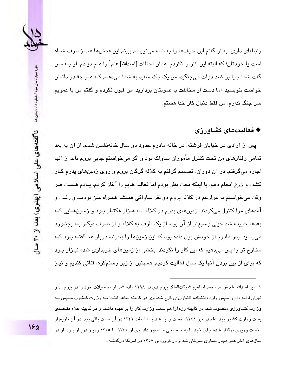

رابطهای داری. به او گفتم این حرفها را به شاه مینویسم ببینم این فحشها هم از طرف شـاه است يا خودتان؛ كه البته اين كار را نكردم. همان لحظات [اسدالله] علم` را هــم ديـدم. او بــه مـن گفت شما چرا بر ضد دولت می جنگید. من یک چک سفید به شما می،دهـم کـه هـر چقـدر دلتـان خواست بنویسید. اما دست از مخالفت با عمویتان بردارید. من قبول نکردم و گفتم من با عمویم سر جنگ ندارم. من فقط دنبال کار خدا هستم.

#### ♦ فعاليتهاي كشاورزي

پس از آزادی در خیابان فرشته، در خانه مادرم حدود دو سال خانهنشین شدم. از آن به بعد تمامی رفتارهای من تحت کنترل مأموران ساواک بود و اگر میفواستم جایی بروم باید از آنها اجازه میگرفتم. در آن دوران، تصمیم گرفتم به کلاله گرگان بروم و روی زمینهای پدرم کـار کشت و زرع انجام دهم. با اینکه تحت نظر بودم اما فعالیتهایم را آغاز کردم. یـادم هـست هـر وقت می خواستم به مزارعم در کلاله بروم دو نفر ساواکی همیشه همـراه مـن بودنـد و رفـت و آمدهای مرا کنترل میکردند. زمینهای پدرم در کلاله سه هـزار هکتـار بـود و زمـینهـایی کـه بعدها خریده شد خیلی وسیعتر از آن بود، از یک طرف به کلاله و از طـرف دیگـر بــه بجنـورد میرسید. پدر مادرم از خودش پول داده بود که این زمینها را بخرند، دربار هم گفتـه بـود کـه مخارج تو را پس میدهیم که این کار را نکردند. بخشی از زمینهای خریداری شده نیـزار بـود که برای از بین بردن آنها یک سال فعالیت کردیم. همچنین از زیر رستمکوه، قناتی کندیم و نیـز

۱. امیر اسپاله علم فرزند محمد ابراهیم شوکتالملک بیرجندی در ۱۲۹۸ زاده شد. او تحصیلات خود را در بیرجنید و تهران ادامه داد و سپس وارد دانشکده کشاورزی کرج شد. وی در کابینه ساعد ابتـدا بـه وزارت کـشور، سـپس بـه وزارت کشاورزی منصوب شد. در کابینه رزمآرا هم سمت وزارت کار را بر عهده داشت و در کابینه علاء متـصدی پست وزارت کشور بود. علم در تیر ۱۳٤۱ نخست وزیر شد و تا اسفند ۱۳٤۲ در آن سمت باقی بود. در آن تاریخ از نخست وزیری برکنار شده جای خود را به حـسنعلی منـصور داد. وی از ۱۳٤٥ تــا ۱۳٥٥ وزیـر دربـار بـود. او در سالهای آخر عمر دچار بیماری سرطان شد و در فروردین ۱۳۵۷ در امریکا درگذشت.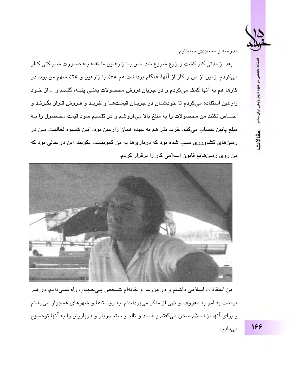، در حوزه تاریخ پژوهی ایران سام

مقالات

مدرسه و مسجدی ساختیم.

بعد از مدتی کار کشت و زرع شروع شد. مـن بـا زارعـین منطقـه بـه صـورت شـراکتی کـار می کردم. زمین از من و کار از آنها. هنگام برداشت هم ۷۵٪ با زارعین و ۲۵٪ سهم من بود. در کارها هم به آنها کمک میکردم و در جریان فروش محصولات یعنـی پنبـه، گنـدم و … از خـود زارعین استفاده میکردم تا خودشـان در جریـان قیمـتهـا و خریـد و فـروش قـرار بگیرنـد و احساس نكنند من محصولات را به مبلغ بالا میفروشم و در تقسیم سود قیمت محـصول را بـه مبلغ پایین حساب میکنم. خرید بذر هم به عهده همان زارعین بود. ایـن شــیوه فعالیـت مـن در زمینهای کشاورزی سبب شده بود که درباریها به من کمونیست بگویند. این در حالی بود که من روی زمینهایم قانون اسلامی کار را برقرار کردم.



من اعتقادات اسلامی داشتم و در مزرعه و خانهام شـخص بـیحجـاب راه نمـیدادم. در هـر فرصت به امر به معروف و نهی از منکر میپرداختم. به روستاها و شهرهای همجوار میرفتم و برای آنها از اسلام سخن میگفتم و فساد و ظلم و ستم دربار و درباریان را به آنها توضـیح مى،دادم.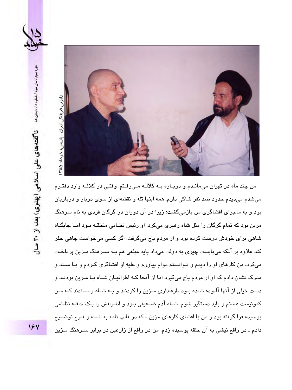



من چند ماه در تهران می،مانـدم و دوبـاره بـه کلالـه مـی،رفـتم. وقتـی در کلالـه وارد دفتـرم میشدم میدیدم حدود صد نفر شاکی دارم. همه اینها تله و نقشهای از سوی دربار و درباریان بود و به ماجرای افشاگری من بازمیگشت؛ زیرا در آن دوران در گرگان فردی به نام سرهنگ مزین بود که تمام گرگان را مثل شاه رهبری میکرد. او رئیس نظـامی منطقـه بـود امـا جایگـاه شاهی برای خودش درست کرده بود و از مردم باج میگرفت. اگر کسی میخواست چاهی حفر کند علاوه بر آنکه میبایست چیزی به دولت میداد باید مبلغی هم بـه سـرهنگ مـزین پرداخـت میکرد. من کارهای او را دیدم و نتوانستم دوام بیاورم و علیه او افشاگری کـردم و بـا سـند و مدرک نشان دادم که او از مردم باج میگیرد اما از آنجا کـه اطرافیـان شـاه بـا مـزین بودنـد و دست خیلی از آنها آلـوده شـده بـود طرفـداری مـزین را کردنـد و بـه شـاه رسـاندند کـه مـن کمونیست هستم و باید دستگیر شوم. شـاه آدم ضـعیفی بـود و اطـرافش را یـک حلقـه نظـامی پوسیده فرا گرفته بود و من با افشای کارهای مزین ـ که در قالب نامه به شـاه و فـرح توضـیح دادم ـ در واقع نیشی به آن حلقه پوسیده زدم. من در واقع از زارعین در برابر سـرهنگ مـزین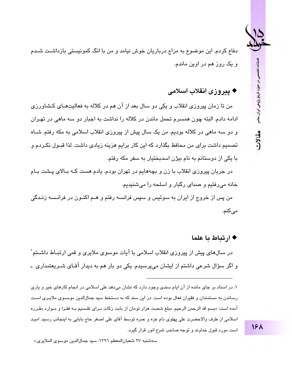دفاع کردم. این موضوع به مزاج درباریان خوش نیامد و من با انگ کمونیستی بازداشـت شـدم و یک روز هم در اوین ماندم.

## ♦ ييروزي انقلاب اسلامي

من تا زمان پیروزی انقلاب و یکی دو سال بعد از آن هم در کلاله به فعالیتهـای کـشاورزی ادامه دادم. البته چون همسرم تحمل ماندن در کلاله را نداشت به اجبار دو سه ماهی در تهـران و دو سه ماهی در کلاله بودیم. من یک سال پیش از پیروزی انقلاب اسلامی به مکه رفتم. شـاه تصمیم داشت برای من محافظ بگذارد که این کار برایم هزینه زیادی داشت. لذا قبـول نکـردم و یا یکی از دوستانم به نام بیژن اسدیختیار به سفر مکه رفتم.

در جریان پیروزی انقلاب با زن و بچههایم در تهران بودم. یادم هست کــه بــالای پــشت بــام خانه می٫دفتیم و صدای رگبار و اسلحه را میشنیدیم.

من پس از خروج از ایران به سوئیس و سپس فرانسه رفتم و هـم اکنـون در فرانـسه زنـدگی مے کنم.

#### ♦ ارتباط با علما

در سالهای پیش از پیروزی انقلاب اسلامی با آیات موسوی ملایری و قمی ارتبـاط داشــتم` و اگر سؤال شرعی داشتم از ایشان میپرسیدم. یکی دو بار هم به دیدار آقـای شــرىعتمداری ــ

۱. در اسناد پر جای مانده از آن ایام سندی وجود دارد که نشان میدهد علی اسلامی در انجام کارهای خبر و پاری رساندن به مستمندان و فقر ان فعال بوده است. در این سند که به دستخط سید حمالالدین موسیوی ملاییری است آمده است: «بسم الله الرحمن الرحيم. مبلغ شصت هزار تومان از بابت زكات بـراي تقسيم بـه فقـرا و مـوارد مقـرره اسلامي از طرف والاحضرت على پهلوى دام عزه و عمره توسط آقاي على اصغر حاج بابايي به اينجانب رسيد. اميـد است مورد قبول خداوند و توجه صاحب شرع انور قرار گیرد.

سهشنبه ٢٧ شعبان المعظم ١٣٩٦. سيد جمال الدين موسوى الملايري.»